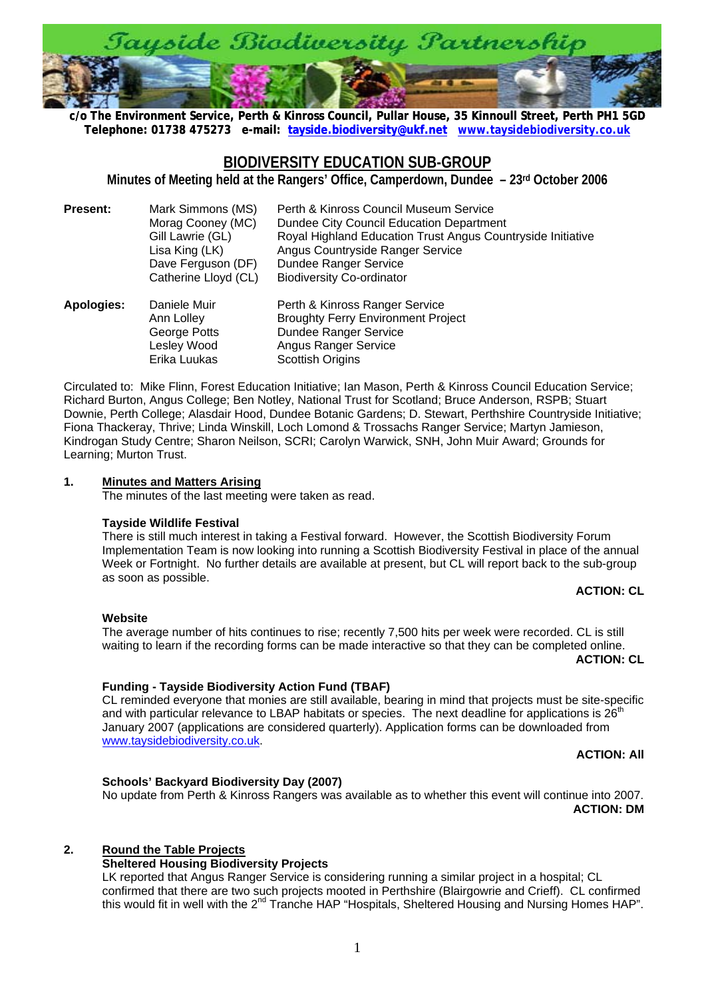

**c/o The Environment Service, Perth & Kinross Council, Pullar House, 35 Kinnoull Street, Perth PH1 5[G](http://www.taysidebiodiversity.co.uk/)D [Telephone: 01738 475273 e-mail: tayside.biodiversity@ukf.net](mailto:tayside.biodiversity@ukf.net) www.taysidebiodiversity.co.uk**

# **BIODIVERSITY EDUCATION SUB-GROUP**

**Minutes of Meeting held at the Rangers' Office, Camperdown, Dundee – 23rd October 2006** 

| <b>Present:</b> | Mark Simmons (MS)<br>Morag Cooney (MC)<br>Gill Lawrie (GL)<br>Lisa King (LK)<br>Dave Ferguson (DF)<br>Catherine Lloyd (CL) | Perth & Kinross Council Museum Service<br>Dundee City Council Education Department<br>Royal Highland Education Trust Angus Countryside Initiative<br>Angus Countryside Ranger Service<br>Dundee Ranger Service<br><b>Biodiversity Co-ordinator</b> |
|-----------------|----------------------------------------------------------------------------------------------------------------------------|----------------------------------------------------------------------------------------------------------------------------------------------------------------------------------------------------------------------------------------------------|
| Apologies:      | Daniele Muir                                                                                                               | Perth & Kinross Ranger Service                                                                                                                                                                                                                     |

| <b>Apologies:</b> | Daniele Muir | Perth & Kinross Ranger Service            |
|-------------------|--------------|-------------------------------------------|
|                   | Ann Lolley   | <b>Broughty Ferry Environment Project</b> |
|                   | George Potts | Dundee Ranger Service                     |
|                   | Lesley Wood  | Angus Ranger Service                      |
|                   | Erika Luukas | Scottish Origins                          |

Circulated to: Mike Flinn, Forest Education Initiative; Ian Mason, Perth & Kinross Council Education Service; Richard Burton, Angus College; Ben Notley, National Trust for Scotland; Bruce Anderson, RSPB; Stuart Downie, Perth College; Alasdair Hood, Dundee Botanic Gardens; D. Stewart, Perthshire Countryside Initiative; Fiona Thackeray, Thrive; Linda Winskill, Loch Lomond & Trossachs Ranger Service; Martyn Jamieson, Kindrogan Study Centre; Sharon Neilson, SCRI; Carolyn Warwick, SNH, John Muir Award; Grounds for Learning; Murton Trust.

#### **1. Minutes and Matters Arising**

The minutes of the last meeting were taken as read.

#### **Tayside Wildlife Festival**

There is still much interest in taking a Festival forward. However, the Scottish Biodiversity Forum Implementation Team is now looking into running a Scottish Biodiversity Festival in place of the annual Week or Fortnight. No further details are available at present, but CL will report back to the sub-group as soon as possible.

## **ACTION: CL**

# **Website**

The average number of hits continues to rise; recently 7,500 hits per week were recorded. CL is still waiting to learn if the recording forms can be made interactive so that they can be completed online.

## **ACTION: CL**

# **Funding - Tayside Biodiversity Action Fund (TBAF)**

CL reminded everyone that monies are still available, bearing in mind that projects must be site-specific and with particular relevance to LBAP habitats or species. The next deadline for applications is 26<sup>th</sup> January 2007 (applications are considered quarterly). Application forms can be downloaded from [www.taysidebiodiversity.co.uk](http://www.taysidebiodiversity.co.uk/).

# **ACTION: All**

# **Schools' Backyard Biodiversity Day (2007)**

No update from Perth & Kinross Rangers was available as to whether this event will continue into 2007. **ACTION: DM**

# **2. Round the Table Projects**

# **Sheltered Housing Biodiversity Projects**

LK reported that Angus Ranger Service is considering running a similar project in a hospital; CL confirmed that there are two such projects mooted in Perthshire (Blairgowrie and Crieff). CL confirmed this would fit in well with the 2<sup>nd</sup> Tranche HAP "Hospitals, Sheltered Housing and Nursing Homes HAP".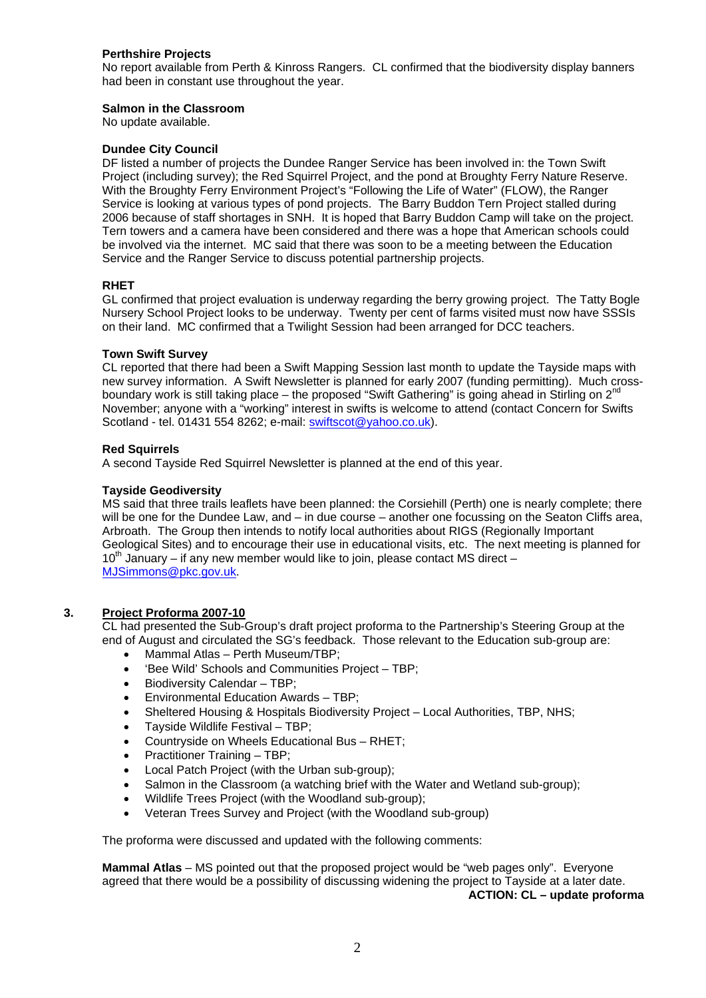#### **Perthshire Projects**

No report available from Perth & Kinross Rangers. CL confirmed that the biodiversity display banners had been in constant use throughout the year.

#### **Salmon in the Classroom**

No update available.

#### **Dundee City Council**

DF listed a number of projects the Dundee Ranger Service has been involved in: the Town Swift Project (including survey); the Red Squirrel Project, and the pond at Broughty Ferry Nature Reserve. With the Broughty Ferry Environment Project's "Following the Life of Water" (FLOW), the Ranger Service is looking at various types of pond projects. The Barry Buddon Tern Project stalled during 2006 because of staff shortages in SNH. It is hoped that Barry Buddon Camp will take on the project. Tern towers and a camera have been considered and there was a hope that American schools could be involved via the internet. MC said that there was soon to be a meeting between the Education Service and the Ranger Service to discuss potential partnership projects.

#### **RHET**

GL confirmed that project evaluation is underway regarding the berry growing project. The Tatty Bogle Nursery School Project looks to be underway. Twenty per cent of farms visited must now have SSSIs on their land. MC confirmed that a Twilight Session had been arranged for DCC teachers.

#### **Town Swift Survey**

CL reported that there had been a Swift Mapping Session last month to update the Tayside maps with new survey information. A Swift Newsletter is planned for early 2007 (funding permitting). Much crossboundary work is still taking place – the proposed "Swift Gathering" is going ahead in Stirling on  $2<sup>n</sup>$ November; anyone with a "working" interest in swifts is welcome to attend (contact Concern for Swifts Scotland - tel. 01431 554 8262; e-mail: [swiftscot@yahoo.co.uk](mailto:swiftscot@yahoo.co.uk)).

#### **Red Squirrels**

A second Tayside Red Squirrel Newsletter is planned at the end of this year.

#### **Tayside Geodiversity**

MS said that three trails leaflets have been planned: the Corsiehill (Perth) one is nearly complete; there will be one for the Dundee Law, and – in due course – another one focussing on the Seaton Cliffs area, Arbroath. The Group then intends to notify local authorities about RIGS (Regionally Important Geological Sites) and to encourage their use in educational visits, etc. The next meeting is planned for  $10<sup>th</sup>$  January – if any new member would like to join, please contact MS direct – [MJSimmons@pkc.gov.uk](mailto:MJSimmons@pkc.gov.uk).

#### **3. Project Proforma 2007-10**

CL had presented the Sub-Group's draft project proforma to the Partnership's Steering Group at the end of August and circulated the SG's feedback. Those relevant to the Education sub-group are:

- Mammal Atlas Perth Museum/TBP;
- 'Bee Wild' Schools and Communities Project TBP;
- Biodiversity Calendar TBP;
- Environmental Education Awards TBP;
- Sheltered Housing & Hospitals Biodiversity Project Local Authorities, TBP, NHS;
- Tayside Wildlife Festival TBP;
- Countryside on Wheels Educational Bus RHET;
- Practitioner Training TBP;
- Local Patch Project (with the Urban sub-group);
- Salmon in the Classroom (a watching brief with the Water and Wetland sub-group);
- Wildlife Trees Project (with the Woodland sub-group);
- Veteran Trees Survey and Project (with the Woodland sub-group)

The proforma were discussed and updated with the following comments:

**Mammal Atlas** – MS pointed out that the proposed project would be "web pages only". Everyone agreed that there would be a possibility of discussing widening the project to Tayside at a later date. **ACTION: CL – update proforma**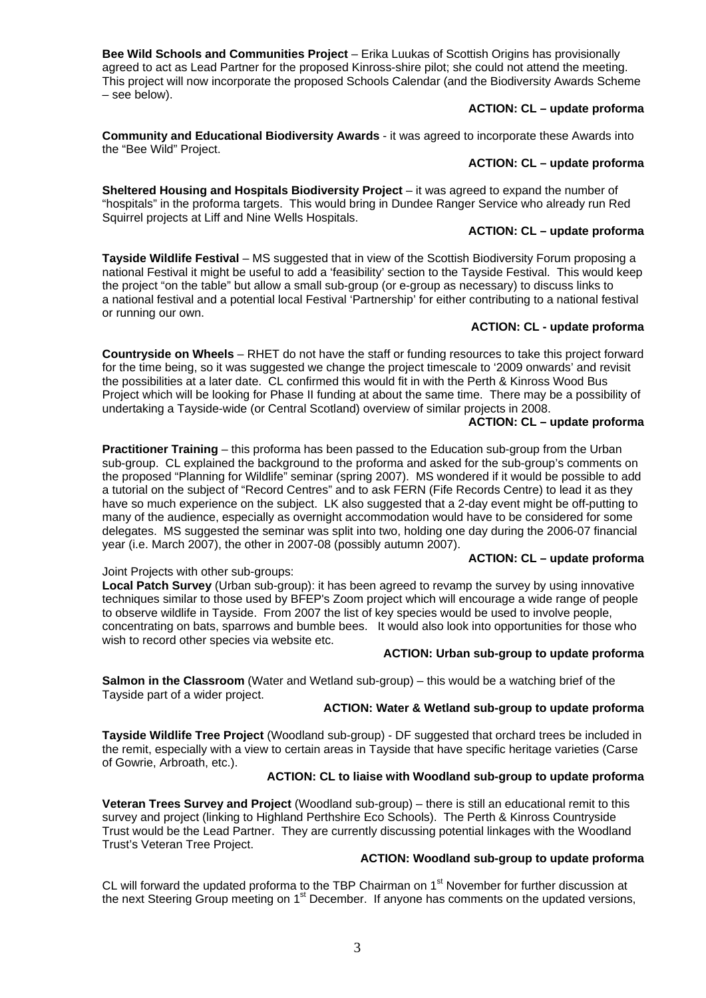**Bee Wild Schools and Communities Project** – Erika Luukas of Scottish Origins has provisionally agreed to act as Lead Partner for the proposed Kinross-shire pilot; she could not attend the meeting. This project will now incorporate the proposed Schools Calendar (and the Biodiversity Awards Scheme – see below).

#### **ACTION: CL – update proforma**

**Community and Educational Biodiversity Awards** - it was agreed to incorporate these Awards into the "Bee Wild" Project.

## **ACTION: CL – update proforma**

**Sheltered Housing and Hospitals Biodiversity Project** – it was agreed to expand the number of "hospitals" in the proforma targets. This would bring in Dundee Ranger Service who already run Red Squirrel projects at Liff and Nine Wells Hospitals.

## **ACTION: CL – update proforma**

**Tayside Wildlife Festival** – MS suggested that in view of the Scottish Biodiversity Forum proposing a national Festival it might be useful to add a 'feasibility' section to the Tayside Festival. This would keep the project "on the table" but allow a small sub-group (or e-group as necessary) to discuss links to a national festival and a potential local Festival 'Partnership' for either contributing to a national festival or running our own.

## **ACTION: CL - update proforma**

**Countryside on Wheels** – RHET do not have the staff or funding resources to take this project forward for the time being, so it was suggested we change the project timescale to '2009 onwards' and revisit the possibilities at a later date. CL confirmed this would fit in with the Perth & Kinross Wood Bus Project which will be looking for Phase II funding at about the same time. There may be a possibility of undertaking a Tayside-wide (or Central Scotland) overview of similar projects in 2008.

## **ACTION: CL – update proforma**

**Practitioner Training** – this proforma has been passed to the Education sub-group from the Urban sub-group. CL explained the background to the proforma and asked for the sub-group's comments on the proposed "Planning for Wildlife" seminar (spring 2007). MS wondered if it would be possible to add a tutorial on the subject of "Record Centres" and to ask FERN (Fife Records Centre) to lead it as they have so much experience on the subject. LK also suggested that a 2-day event might be off-putting to many of the audience, especially as overnight accommodation would have to be considered for some delegates. MS suggested the seminar was split into two, holding one day during the 2006-07 financial year (i.e. March 2007), the other in 2007-08 (possibly autumn 2007). **ACTION: CL – update proforma**

## Joint Projects with other sub-groups:

Local Patch Survey (Urban sub-group): it has been agreed to revamp the survey by using innovative techniques similar to those used by BFEP's Zoom project which will encourage a wide range of people to observe wildlife in Tayside. From 2007 the list of key species would be used to involve people, concentrating on bats, sparrows and bumble bees. It would also look into opportunities for those who wish to record other species via website etc.

#### **ACTION: Urban sub-group to update proforma**

**Salmon in the Classroom** (Water and Wetland sub-group) – this would be a watching brief of the Tayside part of a wider project.

## **ACTION: Water & Wetland sub-group to update proforma**

**Tayside Wildlife Tree Project** (Woodland sub-group) - DF suggested that orchard trees be included in the remit, especially with a view to certain areas in Tayside that have specific heritage varieties (Carse of Gowrie, Arbroath, etc.).

## **ACTION: CL to liaise with Woodland sub-group to update proforma**

**Veteran Trees Survey and Project** (Woodland sub-group) – there is still an educational remit to this survey and project (linking to Highland Perthshire Eco Schools). The Perth & Kinross Countryside Trust would be the Lead Partner. They are currently discussing potential linkages with the Woodland Trust's Veteran Tree Project.

## **ACTION: Woodland sub-group to update proforma**

CL will forward the updated proforma to the TBP Chairman on 1<sup>st</sup> November for further discussion at the next Steering Group meeting on 1<sup>st</sup> December. If anyone has comments on the updated versions,